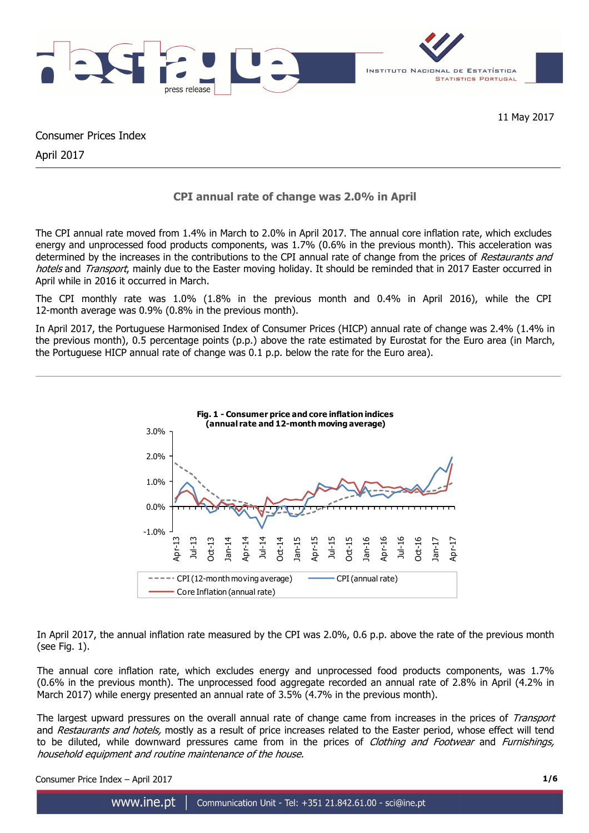

Consumer Prices Index

April 2017

# **CPI annual rate of change was 2.0% in April**

The CPI annual rate moved from 1.4% in March to 2.0% in April 2017. The annual core inflation rate, which excludes energy and unprocessed food products components, was 1.7% (0.6% in the previous month). This acceleration was determined by the increases in the contributions to the CPI annual rate of change from the prices of Restaurants and hotels and Transport, mainly due to the Easter moving holiday. It should be reminded that in 2017 Easter occurred in April while in 2016 it occurred in March.

The CPI monthly rate was 1.0% (1.8% in the previous month and 0.4% in April 2016), while the CPI 12-month average was 0.9% (0.8% in the previous month).

In April 2017, the Portuguese Harmonised Index of Consumer Prices (HICP) annual rate of change was 2.4% (1.4% in the previous month), 0.5 percentage points (p.p.) above the rate estimated by Eurostat for the Euro area (in March, the Portuguese HICP annual rate of change was 0.1 p.p. below the rate for the Euro area).



In April 2017, the annual inflation rate measured by the CPI was 2.0%, 0.6 p.p. above the rate of the previous month (see Fig. 1).

The annual core inflation rate, which excludes energy and unprocessed food products components, was 1.7% (0.6% in the previous month). The unprocessed food aggregate recorded an annual rate of 2.8% in April (4.2% in March 2017) while energy presented an annual rate of 3.5% (4.7% in the previous month).

The largest upward pressures on the overall annual rate of change came from increases in the prices of Transport and Restaurants and hotels, mostly as a result of price increases related to the Easter period, whose effect will tend to be diluted, while downward pressures came from in the prices of *Clothing and Footwear* and *Furnishings*, household equipment and routine maintenance of the house.

Consumer Price Index – April 2017 **1/6**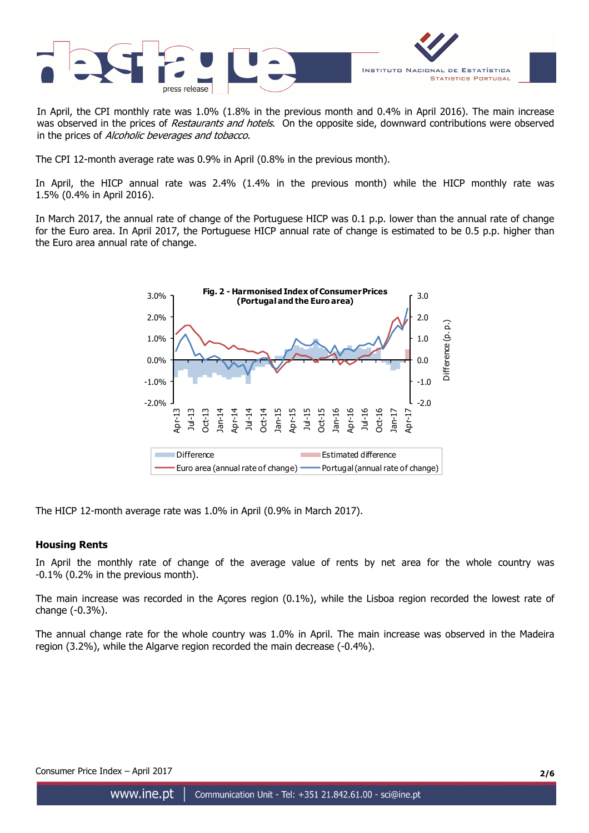

In April, the CPI monthly rate was 1.0% (1.8% in the previous month and 0.4% in April 2016). The main increase was observed in the prices of Restaurants and hotels. On the opposite side, downward contributions were observed in the prices of Alcoholic beverages and tobacco.

The CPI 12-month average rate was 0.9% in April (0.8% in the previous month).

In April, the HICP annual rate was 2.4% (1.4% in the previous month) while the HICP monthly rate was 1.5% (0.4% in April 2016).

In March 2017, the annual rate of change of the Portuguese HICP was 0.1 p.p. lower than the annual rate of change for the Euro area. In April 2017, the Portuguese HICP annual rate of change is estimated to be 0.5 p.p. higher than the Euro area annual rate of change.



The HICP 12-month average rate was 1.0% in April (0.9% in March 2017).

#### **Housing Rents**

In April the monthly rate of change of the average value of rents by net area for the whole country was -0.1% (0.2% in the previous month).

The main increase was recorded in the Açores region (0.1%), while the Lisboa region recorded the lowest rate of change (-0.3%).

The annual change rate for the whole country was 1.0% in April. The main increase was observed in the Madeira region (3.2%), while the Algarve region recorded the main decrease (-0.4%).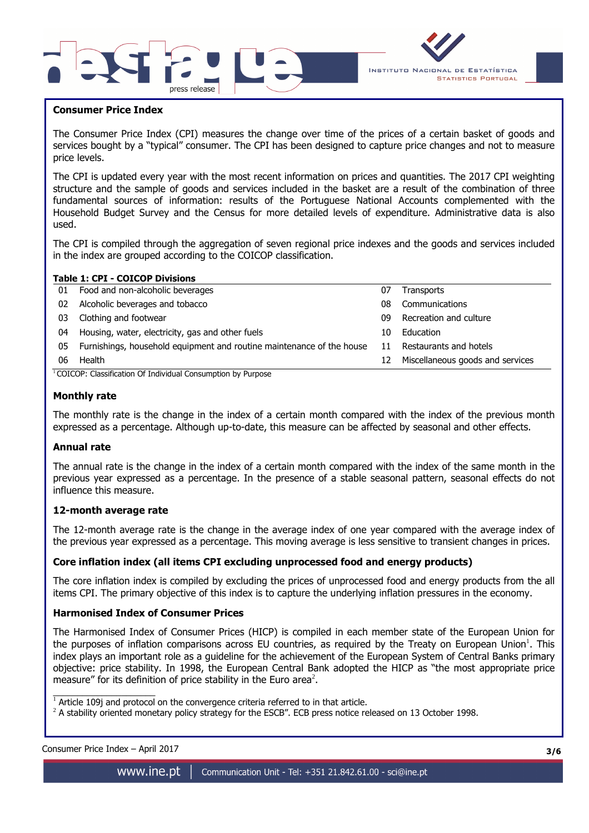



### **Consumer Price Index**

I

The Consumer Price Index (CPI) measures the change over time of the prices of a certain basket of goods and services bought by a "typical" consumer. The CPI has been designed to capture price changes and not to measure price levels.

The CPI is updated every year with the most recent information on prices and quantities. The 2017 CPI weighting structure and the sample of goods and services included in the basket are a result of the combination of three fundamental sources of information: results of the Portuguese National Accounts complemented with the Household Budget Survey and the Census for more detailed levels of expenditure. Administrative data is also used.

The CPI is compiled through the aggregation of seven regional price indexes and the goods and services included in the index are grouped according to the COICOP classification.

|    | <b>Table 1: CPI - COICOP Divisions</b>                                                                                                                                                                                              |    |                                  |
|----|-------------------------------------------------------------------------------------------------------------------------------------------------------------------------------------------------------------------------------------|----|----------------------------------|
| 01 | Food and non-alcoholic beverages                                                                                                                                                                                                    | 07 | Transports                       |
| 02 | Alcoholic beverages and tobacco                                                                                                                                                                                                     | 08 | Communications                   |
| 03 | Clothing and footwear                                                                                                                                                                                                               | 09 | Recreation and culture           |
| 04 | Housing, water, electricity, gas and other fuels                                                                                                                                                                                    | 10 | Education                        |
| 05 | Furnishings, household equipment and routine maintenance of the house                                                                                                                                                               | 11 | Restaurants and hotels           |
| 06 | Health                                                                                                                                                                                                                              | 12 | Miscellaneous goods and services |
|    | $COTCON.$ $C1 = -1C - 1$ of Trials of $C$ and $C$ and $C$ and $C$ and $C$ and $C$ and $C$ and $C$ and $C$ and $C$ and $C$ and $C$ and $C$ and $C$ and $C$ and $C$ and $C$ and $C$ and $C$ and $C$ and $C$ and $C$ and $C$ and $C$ a |    |                                  |

<sup>1</sup> COICOP: Classification Of Individual Consumption by Purpose

#### **Monthly rate**

The monthly rate is the change in the index of a certain month compared with the index of the previous month expressed as a percentage. Although up-to-date, this measure can be affected by seasonal and other effects.

#### **Annual rate**

The annual rate is the change in the index of a certain month compared with the index of the same month in the previous year expressed as a percentage. In the presence of a stable seasonal pattern, seasonal effects do not influence this measure.

#### **12-month average rate**

The 12-month average rate is the change in the average index of one year compared with the average index of the previous year expressed as a percentage. This moving average is less sensitive to transient changes in prices.

#### **Core inflation index (all items CPI excluding unprocessed food and energy products)**

The core inflation index is compiled by excluding the prices of unprocessed food and energy products from the all items CPI. The primary objective of this index is to capture the underlying inflation pressures in the economy.

#### **Harmonised Index of Consumer Prices**

The Harmonised Index of Consumer Prices (HICP) is compiled in each member state of the European Union for the purposes of inflation comparisons across EU countries, as required by the Treaty on European Union<sup>1</sup>. This index plays an important role as a guideline for the achievement of the European System of Central Banks primary objective: price stability. In 1998, the European Central Bank adopted the HICP as "the most appropriate price measure" for its definition of price stability in the Euro area<sup>2</sup>.

 $1$  Article 109j and protocol on the convergence criteria referred to in that article.

 $^2$  A stability oriented monetary policy strategy for the ESCB". ECB press notice released on 13 October 1998.

| Consumer Price Index - April 2017 | 3/6 |
|-----------------------------------|-----|
|                                   |     |

 $\overline{\phantom{a}}$  , and the set of the set of the set of the set of the set of the set of the set of the set of the set of the set of the set of the set of the set of the set of the set of the set of the set of the set of the s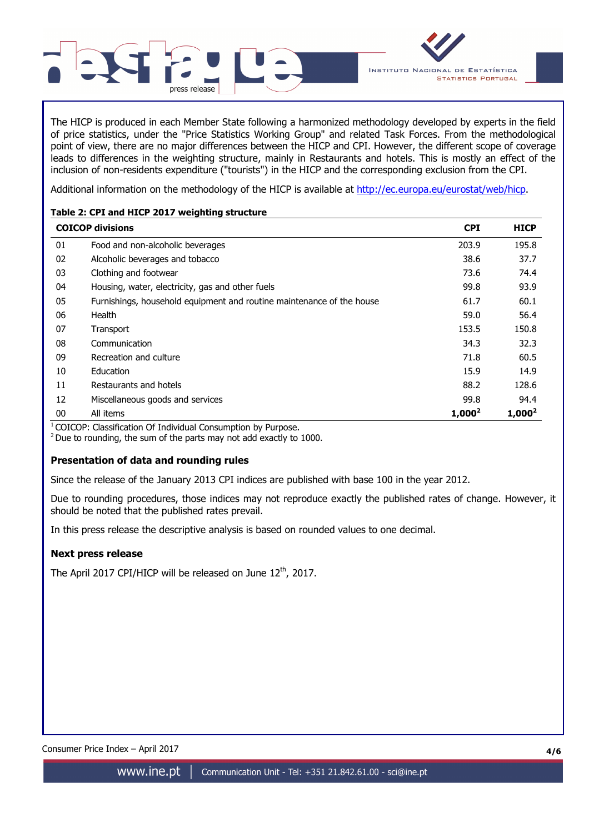

The HICP is produced in each Member State following a harmonized methodology developed by experts in the field of price statistics, under the "Price Statistics Working Group" and related Task Forces. From the methodological point of view, there are no major differences between the HICP and CPI. However, the different scope of coverage leads to differences in the weighting structure, mainly in Restaurants and hotels. This is mostly an effect of the inclusion of non-residents expenditure ("tourists") in the HICP and the corresponding exclusion from the CPI.

Additional information on the methodology of the HICP is available at http://ec.europa.eu/eurostat/web/hicp.

## **Table 2: CPI and HICP 2017 weighting structure**

|    | <b>COICOP divisions</b>                                               | <b>CPI</b> | <b>HICP</b> |
|----|-----------------------------------------------------------------------|------------|-------------|
| 01 | Food and non-alcoholic beverages                                      | 203.9      | 195.8       |
| 02 | Alcoholic beverages and tobacco                                       | 38.6       | 37.7        |
| 03 | Clothing and footwear                                                 | 73.6       | 74.4        |
| 04 | Housing, water, electricity, gas and other fuels                      | 99.8       | 93.9        |
| 05 | Furnishings, household equipment and routine maintenance of the house | 61.7       | 60.1        |
| 06 | Health                                                                | 59.0       | 56.4        |
| 07 | Transport                                                             | 153.5      | 150.8       |
| 08 | Communication                                                         | 34.3       | 32.3        |
| 09 | Recreation and culture                                                | 71.8       | 60.5        |
| 10 | Education                                                             | 15.9       | 14.9        |
| 11 | Restaurants and hotels                                                | 88.2       | 128.6       |
| 12 | Miscellaneous goods and services                                      | 99.8       | 94.4        |
| 00 | All items                                                             | $1,000^2$  | $1,000^2$   |

 $1$ COICOP: Classification Of Individual Consumption by Purpose.

 $2$  Due to rounding, the sum of the parts may not add exactly to 1000.

## **Presentation of data and rounding rules**

Since the release of the January 2013 CPI indices are published with base 100 in the year 2012.

Due to rounding procedures, those indices may not reproduce exactly the published rates of change. However, it should be noted that the published rates prevail.

In this press release the descriptive analysis is based on rounded values to one decimal.

## **Next press release**

The April 2017 CPI/HICP will be released on June  $12<sup>th</sup>$ , 2017.

Consumer Price Index – April 2017 **4/6**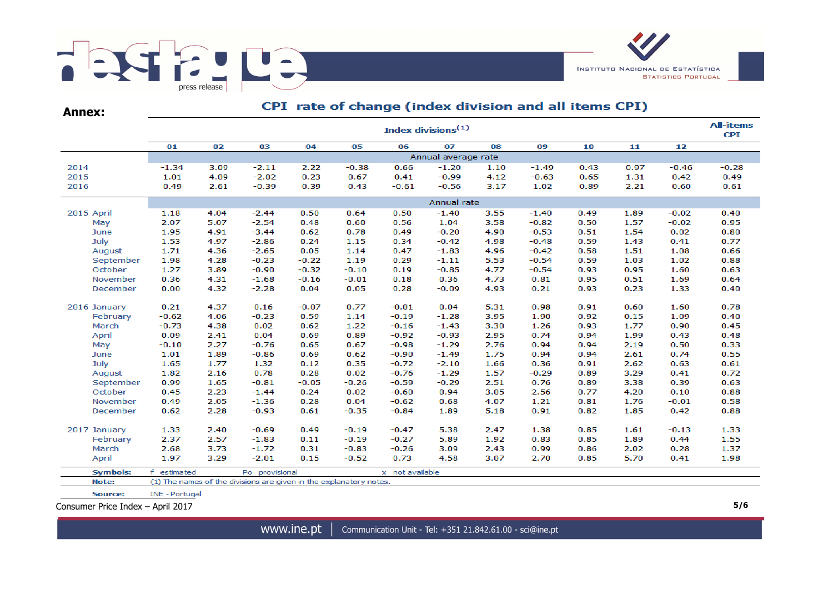

CPI rate of change (index division and all items CPI) **Annex:All-items** Index divisions $(1)$ **CPI**  $\overline{01}$  $02$  $0<sup>3</sup>$  $04$  $0<sub>5</sub>$  $06$  $\overline{07}$  $08$  $09$  $\overline{10}$  $\overline{11}$  $\overline{12}$ Annual average rate 2014  $-1.34$ 3.09  $-2.11$ 2.22  $-0.38$  $-1.49$  $0.43$ 0.97  $-0.46$  $-0.28$ 0.66  $-1.20$ 1.10 2015  $-2.02$  $0.23$  $0.41$  $-0.99$  $0.42$ 0.49 1.01 4.09 0.67 4.12  $-0.63$ 0.65 1.31 2016 0.49 2.61  $-0.39$ 0.39  $0.43$  $-0.61$  $-0.56$ 3.17 1.02 0.89 2.21 0.60  $0.61$ Annual rate 2015 April 1.18 4.04  $-2.44$ 0.50 0.64  $0.50$  $-1.40$ 3.55  $-1.40$ 0.49 1.89  $-0.02$  $0.40$ May 2.07 5.07  $-2.54$ 0.48 0.60 0.56 1.04 3.58  $-0.82$ 0.50 1.57  $-0.02$ 0.95 1.95 0.78  $-0.20$  $0.02$ June 4.91  $-3.44$  $0.62$ 0.49 4.90  $-0.53$  $0.51$ 1.54 0.80 July 1.53 4.97  $-2.86$ 0.24 1.15 0.34  $-0.42$ 4.98  $-0.48$ 0.59 1.43  $0.41$ 0.77 1.71  $-2.65$ 0.47  $-1.83$ 4.96 1.08 August 4.36  $0.05$ 1.14  $-0.42$ 0.58 1.51 0.66 September 1.98 4.28  $-0.23$  $-0.22$ 1.19  $0.29$  $-1.11$ 5.53  $-0.54$ 0.59 1.03 1.02 0.88 October 1.27 3.89  $-0.90$  $-0.32$  $-0.10$  $0.19$  $-0.85$ 4.77  $-0.54$ 0.93 0.95 1.60 0.63 November 0.36 4.31  $-1.68$  $-0.16$  $-0.01$  $0.18$ 0.36 4.73 0.81 0.95 0.51 1.69 0.64 December 0.00 4.32  $-2.28$ 0.04  $0.05$ 0.28  $-0.09$ 4.93  $0.21$ 0.93  $0.23$ 1.33 0.40  $0.21$  $-0.07$ 0.77  $-0.01$  $0.04$ 0.98 0.60 0.78 2016 January 4.37  $0.16$ 5.31  $0.91$ 1.60 February  $-0.62$ 4.06  $-0.23$ 0.59 1.14  $-0.19$  $-1.28$ 3.95 1.90 0.92  $0.15$ 1.09 0.40 March  $-0.73$ 4.38  $0.02$ 0.62 1.22  $-0.16$  $-1.43$ 3.30 1.26 0.93 1.77 0.90 0.45 April 0.09  $0.04$ 0.69 0.89  $-0.92$  $-0.93$ 2.95 0.74  $0.43$ 0.48 2.41 0.94 1.99  $-0.10$ 2.27  $-0.76$ 0.67  $-0.98$  $-1.29$ 2.76 0.94 0.94 2.19 0.50 0.33 May 0.65 June 1.01 1.89  $-0.86$ 0.69 0.62  $-0.90$  $-1.49$ 1.75 0.94 0.94 2.61 0.74 0.55  $-0.72$ July 1.65 1.77 1.32  $0.12$ 0.35  $-2.10$ 1.66 0.36 0.91 2.62  $0.63$  $0.61$ August 1.82 2.16 0.78 0.28  $0.02$  $-0.76$  $-1.29$ 1.57  $-0.29$ 0.89 3.29  $0.41$ 0.72 September 0.99 1.65  $-0.81$  $-0.05$  $-0.26$  $-0.59$  $-0.29$ 2.51 0.76 0.89 3.38 0.39 0.63 October 0.45 2.23  $-1.44$  $0.24$  $0.02$  $-0.60$ 0.94 3.05 2.56 0.77 4.20  $0.10$ 0.88 November 0.49 2.05  $-1.36$ 0.28  $0.04$  $-0.62$ 0.68 4.07 1.21 0.81 1.76  $-0.01$ 0.58 December 0.62 2.28  $-0.93$  $0.61$  $-0.35$  $-0.84$ 1.89 5.18 0.91 0.82 1.85  $0.42$ 0.88 2017 January 1.33 2.40  $-0.69$ 0.49  $-0.19$  $-0.47$ 5.38 2.47 1.38 0.85 1.61  $-0.13$ 1.33 February 2.37 2.57  $-1.83$  $0.11$  $-0.19$  $-0.27$ 5.89 1.92 0.83 0.85 1.89 0.44 1.55 March 2.68 3.73  $-1.72$ 0.31  $-0.83$  $-0.26$ 3.09 2.43 0.99 0.86 2.02 0.28 1.37 April 1.97 3.29  $-2.01$  $0.15$  $-0.52$ 0.73 4.58 3.07 2.70 0.85 5.70  $0.41$ 1.98 **Symbols:** f estimated x not available Po provisional Note: (1) The names of the divisions are given in the explanatory notes.

Source: INE - Portugal

Consumer Price Index – April 2017 **5/6**

www.ine.pt Communication Unit - Tel: +351 21.842.61.00 - sci@ine.pt